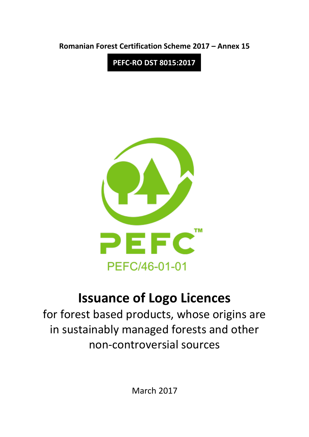**Romanian Forest Certification Scheme 2017 – Annex 15**

**PEFC-RO DST 8015:2017**



# **Issuance of Logo Licences**

for forest based products, whose origins are in sustainably managed forests and other non-controversial sources

March 2017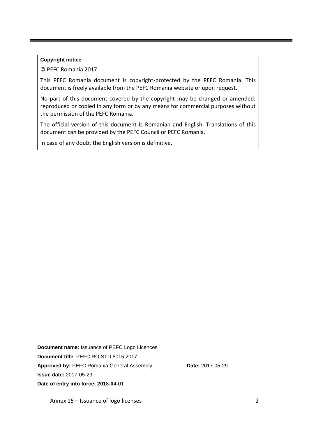#### **Copyright notice**

© PEFC Romania 2017

This PEFC Romania document is copyright-protected by the PEFC Romania. This document is freely available from the PEFC Romania website or upon request.

No part of this document covered by the copyright may be changed or amended; reproduced or copied in any form or by any means for commercial purposes without the permission of the PEFC Romania.

The official version of this document is Romanian and English. Translations of this document can be provided by the PEFC Council or PEFC Romania.

In case of any doubt the English version is definitive.

**Document name:** Issuance of PEFC Logo Licences **Document title**: PEFC RO STD 8015:2017 Approved by: PEFC Romania General Assembly **Date:** 2017-05-29 **Issue date:** 2017-05-29 **Date of entry into force: 201**8**-0**4**-**01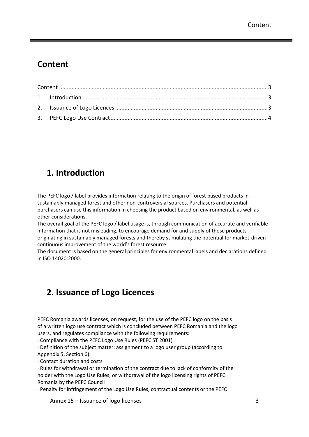## <span id="page-2-0"></span>**Content**

### <span id="page-2-1"></span>**1. Introduction**

The PEFC logo / label provides information relating to the origin of forest based products in sustainably managed forest and other non-controversial sources. Purchasers and potential purchasers can use this information in choosing the product based on environmental, as well as other considerations.

The overall goal of the PEFC logo / label usage is, through communication of accurate and verifiable information that is not misleading, to encourage demand for and supply of those products originating in sustainably managed forests and thereby stimulating the potential for market-driven continuous improvement of the world's forest resource.

The document is based on the general principles for environmental labels and declarations defined in ISO 14020:2000.

## <span id="page-2-2"></span>**2. Issuance of Logo Licences**

PEFC Romania awards licenses, on request, for the use of the PEFC logo on the basis of a written logo use contract which is concluded between PEFC Romania and the logo users, and regulates compliance with the following requirements:

· Compliance with the PEFC Logo Use Rules (PEFC ST 2001)

· Definition of the subject matter: assignment to a logo user group (according to

Appendix 5, Section 6)

· Contact duration and costs

· Rules for withdrawal or termination of the contract due to lack of conformity of the holder with the Logo Use Rules, or withdrawal of the logo licensing rights of PEFC Romania by the PEFC Council

· Penalty for infringement of the Logo Use Rules, contractual contents or the PEFC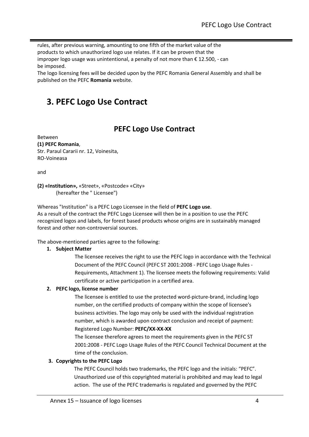rules, after previous warning, amounting to one fifth of the market value of the products to which unauthorized logo use relates. If it can be proven that the improper logo usage was unintentional, a penalty of not more than € 12.500, - can be imposed.

The logo licensing fees will be decided upon by the PEFC Romania General Assembly and shall be published on the PEFC **Romania** website.

### <span id="page-3-0"></span>**3. PEFC Logo Use Contract**

### **PEFC Logo Use Contract**

Between **(1) PEFC Romania**, Str. Paraul Cararii nr. 12, Voinesita, RO-Voineasa

and

**(2) «Institution»,** «Street», «Postcode» «City» (hereafter the " Licensee")

Whereas "Institution" is a PEFC Logo Licensee in the field of **PEFC Logo use**. As a result of the contract the PEFC Logo Licensee will then be in a position to use the PEFC recognized logos and labels, for forest based products whose origins are in sustainably managed forest and other non-controversial sources.

The above-mentioned parties agree to the following:

#### **1. Subject Matter**

The licensee receives the right to use the PEFC logo in accordance with the Technical Document of the PEFC Council (PEFC ST 2001:2008 - PEFC Logo Usage Rules - Requirements, Attachment 1). The licensee meets the following requirements: Valid certificate or active participation in a certified area.

#### **2. PEFC logo, license number**

The licensee is entitled to use the protected word-picture-brand, including logo number, on the certified products of company within the scope of licensee's business activities. The logo may only be used with the individual registration number, which is awarded upon contract conclusion and receipt of payment: Registered Logo Number: **PEFC/XX-XX-XX**

The licensee therefore agrees to meet the requirements given in the PEFC ST 2001:2008 - PEFC Logo Usage Rules of the PEFC Council Technical Document at the time of the conclusion.

#### **3. Copyrights to the PEFC Logo**

The PEFC Council holds two trademarks, the PEFC logo and the initials: "PEFC". Unauthorized use of this copyrighted material is prohibited and may lead to legal action. The use of the PEFC trademarks is regulated and governed by the PEFC